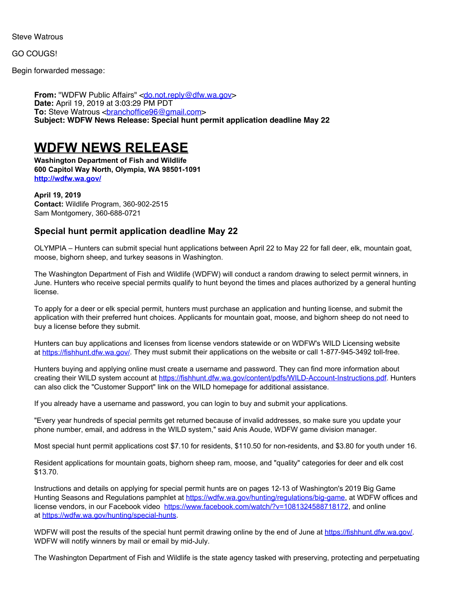Steve Watrous

GO COUGS!

Begin forwarded message:

**From:** "WDFW Public Affairs" [<do.not.reply@dfw.wa.gov](mailto:do.not.reply@dfw.wa.gov)> **Date:** April 19, 2019 at 3:03:29 PM PDT **To:** Steve Watrous [<branchoffice96@gmail.com](mailto:branchoffice96@gmail.com)> **Subject: WDFW News Release: Special hunt permit application deadline May 22**

## **WDFW NEWS RELEASE**

**Washington Department of Fish and Wildlife 600 Capitol Way North, Olympia, WA 98501-1091 <http://wdfw.wa.gov/>**

**April 19, 2019 Contact:** Wildlife Program, 360-902-2515 Sam Montgomery, 360-688-0721

## **Special hunt permit application deadline May 22**

OLYMPIA – Hunters can submit special hunt applications between April 22 to May 22 for fall deer, elk, mountain goat, moose, bighorn sheep, and turkey seasons in Washington.

The Washington Department of Fish and Wildlife (WDFW) will conduct a random drawing to select permit winners, in June. Hunters who receive special permits qualify to hunt beyond the times and places authorized by a general hunting license.

To apply for a deer or elk special permit, hunters must purchase an application and hunting license, and submit the application with their preferred hunt choices. Applicants for mountain goat, moose, and bighorn sheep do not need to buy a license before they submit.

Hunters can buy applications and licenses from license vendors statewide or on WDFW's WILD Licensing website at <https://fishhunt.dfw.wa.gov/>. They must submit their applications on the website or call 1-877-945-3492 toll-free.

Hunters buying and applying online must create a username and password. They can find more information about creating their WILD system account at <https://fishhunt.dfw.wa.gov/content/pdfs/WILD-Account-Instructions.pdf>. Hunters can also click the "Customer Support" link on the WILD homepage for additional assistance.

If you already have a username and password, you can login to buy and submit your applications.

"Every year hundreds of special permits get returned because of invalid addresses, so make sure you update your phone number, email, and address in the WILD system," said Anis Aoude, WDFW game division manager.

Most special hunt permit applications cost \$7.10 for residents, \$110.50 for non-residents, and \$3.80 for youth under 16.

Resident applications for mountain goats, bighorn sheep ram, moose, and "quality" categories for deer and elk cost \$13.70.

Instructions and details on applying for special permit hunts are on pages 12-13 of Washington's 2019 Big Game Hunting Seasons and Regulations pamphlet at <https://wdfw.wa.gov/hunting/regulations/big-game>, at WDFW offices and license vendors, in our Facebook video <https://www.facebook.com/watch/?v=1081324588718172>, and online at <https://wdfw.wa.gov/hunting/special-hunts>.

WDFW will post the results of the special hunt permit drawing online by the end of June at <https://fishhunt.dfw.wa.gov/>. WDFW will notify winners by mail or email by mid-July.

The Washington Department of Fish and Wildlife is the state agency tasked with preserving, protecting and perpetuating